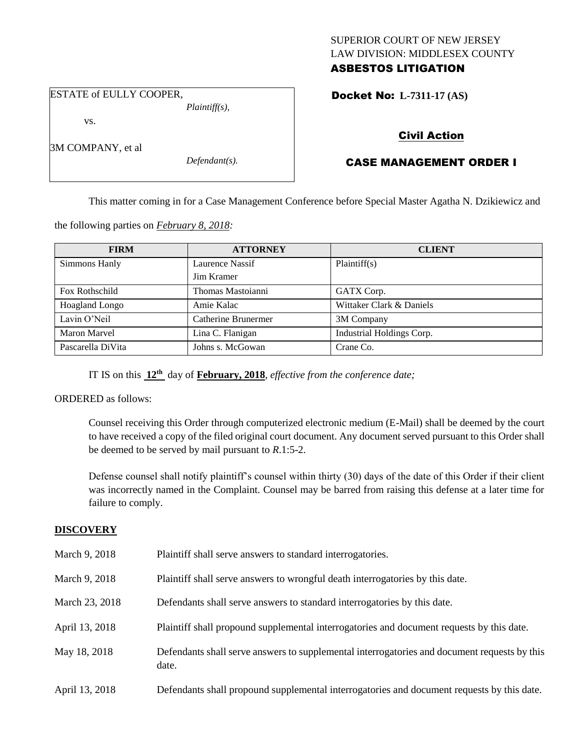## SUPERIOR COURT OF NEW JERSEY LAW DIVISION: MIDDLESEX COUNTY ASBESTOS LITIGATION

ESTATE of EULLY COOPER,

vs.

3M COMPANY, et al

*Defendant(s).*

*Plaintiff(s),*

Docket No: **L-7311-17 (AS)** 

# Civil Action

# CASE MANAGEMENT ORDER I

This matter coming in for a Case Management Conference before Special Master Agatha N. Dzikiewicz and

the following parties on *February 8, 2018:*

| <b>FIRM</b>         | <b>ATTORNEY</b>     | <b>CLIENT</b>             |  |
|---------------------|---------------------|---------------------------|--|
| Simmons Hanly       | Laurence Nassif     | Plaintiff(s)              |  |
|                     | Jim Kramer          |                           |  |
| Fox Rothschild      | Thomas Mastoianni   | GATX Corp.                |  |
| Hoagland Longo      | Amie Kalac          | Wittaker Clark & Daniels  |  |
| Lavin O'Neil        | Catherine Brunermer | 3M Company                |  |
| <b>Maron Marvel</b> | Lina C. Flanigan    | Industrial Holdings Corp. |  |
| Pascarella DiVita   | Johns s. McGowan    | Crane Co.                 |  |

IT IS on this **12th** day of **February, 2018**, *effective from the conference date;*

ORDERED as follows:

Counsel receiving this Order through computerized electronic medium (E-Mail) shall be deemed by the court to have received a copy of the filed original court document. Any document served pursuant to this Order shall be deemed to be served by mail pursuant to *R*.1:5-2.

Defense counsel shall notify plaintiff's counsel within thirty (30) days of the date of this Order if their client was incorrectly named in the Complaint. Counsel may be barred from raising this defense at a later time for failure to comply.

## **DISCOVERY**

| March 9, 2018  | Plaintiff shall serve answers to standard interrogatories.                                            |
|----------------|-------------------------------------------------------------------------------------------------------|
| March 9, 2018  | Plaintiff shall serve answers to wrongful death interrogatories by this date.                         |
| March 23, 2018 | Defendants shall serve answers to standard interrogatories by this date.                              |
| April 13, 2018 | Plaintiff shall propound supplemental interrogatories and document requests by this date.             |
| May 18, 2018   | Defendants shall serve answers to supplemental interrogatories and document requests by this<br>date. |
| April 13, 2018 | Defendants shall propound supplemental interrogatories and document requests by this date.            |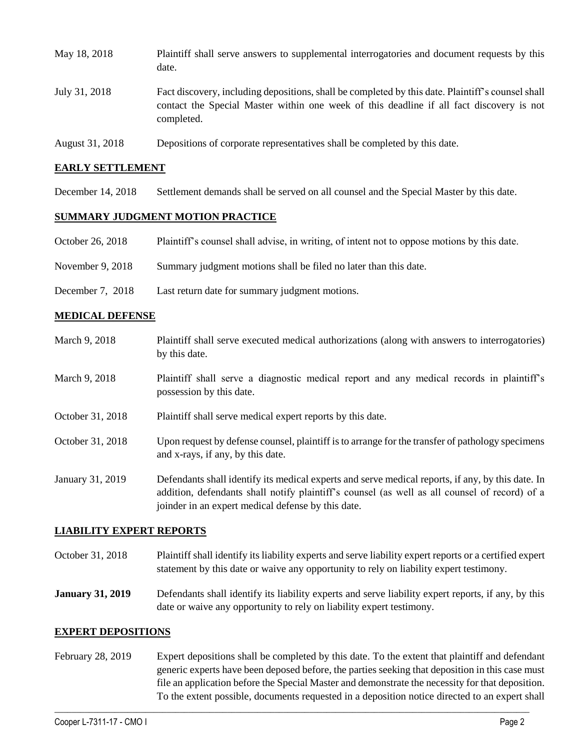| May 18, 2018    | Plaintiff shall serve answers to supplemental interrogatories and document requests by this<br>date.                                                                                                        |
|-----------------|-------------------------------------------------------------------------------------------------------------------------------------------------------------------------------------------------------------|
| July 31, 2018   | Fact discovery, including depositions, shall be completed by this date. Plaintiff's counsel shall<br>contact the Special Master within one week of this deadline if all fact discovery is not<br>completed. |
| August 31, 2018 | Depositions of corporate representatives shall be completed by this date.                                                                                                                                   |

### **EARLY SETTLEMENT**

December 14, 2018 Settlement demands shall be served on all counsel and the Special Master by this date.

### **SUMMARY JUDGMENT MOTION PRACTICE**

|  | October 26, 2018 | Plaintiff's counsel shall advise, in writing, of intent not to oppose motions by this date. |  |  |  |
|--|------------------|---------------------------------------------------------------------------------------------|--|--|--|
|--|------------------|---------------------------------------------------------------------------------------------|--|--|--|

- November 9, 2018 Summary judgment motions shall be filed no later than this date.
- December 7, 2018 Last return date for summary judgment motions.

#### **MEDICAL DEFENSE**

March 9, 2018 Plaintiff shall serve executed medical authorizations (along with answers to interrogatories) by this date. March 9, 2018 Plaintiff shall serve a diagnostic medical report and any medical records in plaintiff's possession by this date. October 31, 2018 Plaintiff shall serve medical expert reports by this date. October 31, 2018 Upon request by defense counsel, plaintiff is to arrange for the transfer of pathology specimens and x-rays, if any, by this date. January 31, 2019 Defendants shall identify its medical experts and serve medical reports, if any, by this date. In addition, defendants shall notify plaintiff's counsel (as well as all counsel of record) of a joinder in an expert medical defense by this date.

### **LIABILITY EXPERT REPORTS**

- October 31, 2018 Plaintiff shall identify its liability experts and serve liability expert reports or a certified expert statement by this date or waive any opportunity to rely on liability expert testimony.
- **January 31, 2019** Defendants shall identify its liability experts and serve liability expert reports, if any, by this date or waive any opportunity to rely on liability expert testimony.

#### **EXPERT DEPOSITIONS**

February 28, 2019 Expert depositions shall be completed by this date. To the extent that plaintiff and defendant generic experts have been deposed before, the parties seeking that deposition in this case must file an application before the Special Master and demonstrate the necessity for that deposition. To the extent possible, documents requested in a deposition notice directed to an expert shall

 $\_$  ,  $\_$  ,  $\_$  ,  $\_$  ,  $\_$  ,  $\_$  ,  $\_$  ,  $\_$  ,  $\_$  ,  $\_$  ,  $\_$  ,  $\_$  ,  $\_$  ,  $\_$  ,  $\_$  ,  $\_$  ,  $\_$  ,  $\_$  ,  $\_$  ,  $\_$  ,  $\_$  ,  $\_$  ,  $\_$  ,  $\_$  ,  $\_$  ,  $\_$  ,  $\_$  ,  $\_$  ,  $\_$  ,  $\_$  ,  $\_$  ,  $\_$  ,  $\_$  ,  $\_$  ,  $\_$  ,  $\_$  ,  $\_$  ,